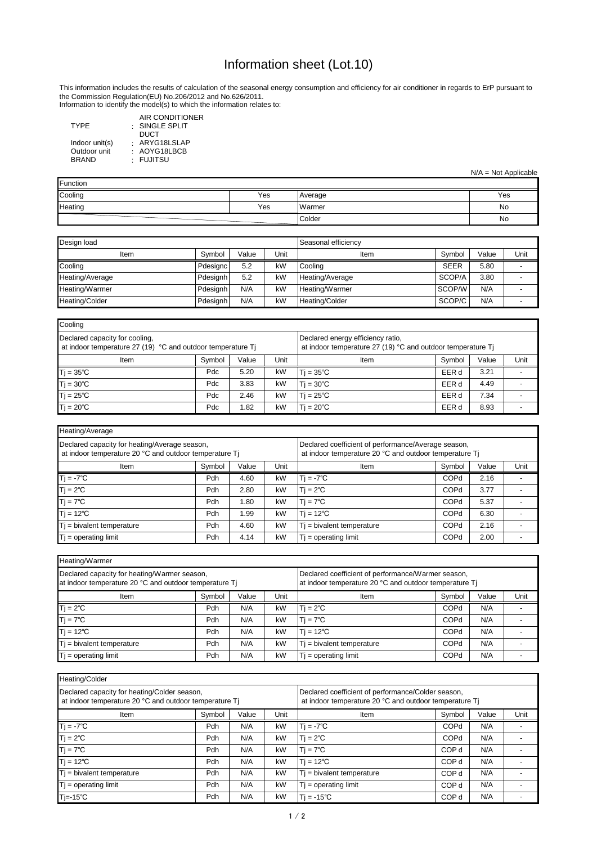Information to identify the model(s) to which the information relates to:

| <b>TYPE</b>    | AIR CONDITIONER<br>$\cdot$ SINGLE SPLIT<br>DUCT |
|----------------|-------------------------------------------------|
| Indoor unit(s) | : ARYG18LSLAP                                   |
| Outdoor unit   | : AOYG18LBCB                                    |
| <b>BRAND</b>   | · FUJITSU                                       |

| Heating/Average                                                                                         |        |       |      |                                                                                                               |             |       |      |  |  |  |  |
|---------------------------------------------------------------------------------------------------------|--------|-------|------|---------------------------------------------------------------------------------------------------------------|-------------|-------|------|--|--|--|--|
| Declared capacity for heating/Average season,<br>at indoor temperature 20 °C and outdoor temperature Tj |        |       |      | Declared coefficient of performance/Average season,<br>at indoor temperature 20 °C and outdoor temperature Tj |             |       |      |  |  |  |  |
| Item                                                                                                    | Symbol | Value | Unit | Item                                                                                                          | Symbol      | Value | Unit |  |  |  |  |
| $Tj = -7^{\circ}C$                                                                                      | Pdh    | 4.60  | kW   | $Tj = -7^{\circ}C$                                                                                            | <b>COPd</b> | 2.16  |      |  |  |  |  |
| $Tj = 2^{\circ}C$                                                                                       | Pdh    | 2.80  | kW   | $Ti = 2^{\circ}C$                                                                                             | <b>COPd</b> | 3.77  |      |  |  |  |  |
| $Tj = 7^{\circ}C$                                                                                       | Pdh    | 1.80  | kW   | $Tj = 7^{\circ}C$                                                                                             | <b>COPd</b> | 5.37  |      |  |  |  |  |
| $\mathsf{T}$ j = 12°C                                                                                   | Pdh    | 99. ا | kW   | $T$ i = 12°C                                                                                                  | <b>COPd</b> | 6.30  |      |  |  |  |  |
| $T$ j = bivalent temperature                                                                            | Pdh    | 4.60  | kW   | $T_i$ = bivalent temperature                                                                                  | <b>COPd</b> | 2.16  |      |  |  |  |  |
| $Tj = operating limit$                                                                                  | Pdh    | 4.14  | kW   | $T_i$ = operating limit                                                                                       | <b>COPd</b> | 2.00  |      |  |  |  |  |

| Heating/Warmer                                                                                         |        |       |      |                                                                                                              |             |       |      |  |  |
|--------------------------------------------------------------------------------------------------------|--------|-------|------|--------------------------------------------------------------------------------------------------------------|-------------|-------|------|--|--|
| Declared capacity for heating/Warmer season,<br>at indoor temperature 20 °C and outdoor temperature Tj |        |       |      | Declared coefficient of performance/Warmer season,<br>at indoor temperature 20 °C and outdoor temperature Tj |             |       |      |  |  |
| Item                                                                                                   | Symbol | Value | Unit | Item                                                                                                         | Symbol      | Value | Unit |  |  |
| $Tj = 2^{\circ}C$                                                                                      | Pdh    | N/A   | kW   | $T = 2^{\circ}C$                                                                                             | <b>COPd</b> | N/A   |      |  |  |
| $Tj = 7^{\circ}C$                                                                                      | Pdh    | N/A   | kW   | $Ti = 7^{\circ}C$                                                                                            | <b>COPd</b> | N/A   |      |  |  |
| $Tj = 12^{\circ}C$                                                                                     | Pdh    | N/A   | kW   | $T = 12^{\circ}C$                                                                                            | <b>COPd</b> | N/A   |      |  |  |
| $Tj$ = bivalent temperature                                                                            | Pdh    | N/A   | kW   | $T_i$ = bivalent temperature                                                                                 | <b>COPd</b> | N/A   |      |  |  |
| $Tj = operating limit$                                                                                 | Pdh    | N/A   | kW   | $Tj = operating limit$                                                                                       | <b>COPd</b> | N/A   |      |  |  |

| Design load     |                 |       | Seasonal efficiency |                 |             |       |      |
|-----------------|-----------------|-------|---------------------|-----------------|-------------|-------|------|
| Item            | Symbol          | Value | Unit                | Item            | Symbol      | Value | Unit |
| Cooling         | Pdesignc        | 5.2   | kW                  | Cooling         | <b>SEER</b> | 5.80  |      |
| Heating/Average | Pdesignh        | 5.2   | kW                  | Heating/Average | SCOP/A      | 3.80  |      |
| Heating/Warmer  | Pdesignh        | N/A   | kW                  | Heating/Warmer  | SCOP/W      | N/A   |      |
| Heating/Colder  | <b>Pdesignh</b> | N/A   | kW                  | Heating/Colder  | SCOP/C      | N/A   |      |

| Heating/Colder                                                                                         |                         |     |    |                                                                                                              |                  |       |      |  |
|--------------------------------------------------------------------------------------------------------|-------------------------|-----|----|--------------------------------------------------------------------------------------------------------------|------------------|-------|------|--|
| Declared capacity for heating/Colder season,<br>at indoor temperature 20 °C and outdoor temperature Tj |                         |     |    | Declared coefficient of performance/Colder season,<br>at indoor temperature 20 °C and outdoor temperature Tj |                  |       |      |  |
| Item                                                                                                   | Unit<br>Symbol<br>Value |     |    | Item                                                                                                         | Symbol           | Value | Unit |  |
| $Ti = -7^{\circ}C$                                                                                     | Pdh                     | N/A | kW | $Tj = -7^{\circ}C$                                                                                           | COPd             | N/A   |      |  |
| $Tj = 2^{\circ}C$                                                                                      | Pdh                     | N/A | kW | $T = 2^{\circ}C$                                                                                             | <b>COPd</b>      | N/A   |      |  |
| $Tj = 7^{\circ}C$                                                                                      | Pdh                     | N/A | kW | $Tj = 7^{\circ}C$                                                                                            | COP d            | N/A   |      |  |
| $Tj = 12^{\circ}C$                                                                                     | Pdh                     | N/A | kW | $T$ j = 12°C                                                                                                 | COP <sub>d</sub> | N/A   |      |  |
| $Ti = bivalent temperature$                                                                            | Pdh                     | N/A | kW | $T_i$ = bivalent temperature                                                                                 | COP d            | N/A   |      |  |
| $Tj = operating limit$                                                                                 | Pdh                     | N/A | kW | $T$ = operating limit                                                                                        | COP d            | N/A   |      |  |
| 'Tj=-15℃                                                                                               | Pdh                     | N/A | kW | $T = -15^{\circ}C$                                                                                           | COP d            | N/A   |      |  |

| Cooling                                                                                       |        |       |      |                                                                                                  |        |       |      |
|-----------------------------------------------------------------------------------------------|--------|-------|------|--------------------------------------------------------------------------------------------------|--------|-------|------|
| Declared capacity for cooling,<br>at indoor temperature 27 (19) °C and outdoor temperature Tj |        |       |      | Declared energy efficiency ratio,<br>at indoor temperature 27 (19) °C and outdoor temperature Tj |        |       |      |
| Item                                                                                          | Symbol | Value | Unit | <b>Item</b>                                                                                      | Symbol | Value | Unit |
| $Tj = 35^{\circ}C$                                                                            | Pdc    | 5.20  | kW   | $T = 35^{\circ}C$                                                                                | EER d  | 3.21  |      |
| $Tj = 30^{\circ}C$                                                                            | Pdc    | 3.83  | kW   | $T = 30^{\circ}C$                                                                                | EER d  | 4.49  |      |
| $Tj = 25^{\circ}C$                                                                            | Pdc    | 2.46  | kW   | $T = 25^{\circ}C$                                                                                | EER d  | 7.34  |      |
| $Tj = 20^{\circ}C$                                                                            | Pdc    | 1.82  | kW   | $T = 20^{\circ}C$                                                                                | EER d  | 8.93  |      |

| Function |     |                |     |  |  |  |
|----------|-----|----------------|-----|--|--|--|
| Cooling  | Yes | <b>Average</b> | Yes |  |  |  |
| Heating  | Yes | Warmer         | No  |  |  |  |
|          |     | Colder         | No  |  |  |  |

## Information sheet (Lot.10)

N/A = Not Applicable

This information includes the results of calculation of the seasonal energy consumption and efficiency for air conditioner in regards to ErP pursuant to the Commission Regulation(EU) No.206/2012 and No.626/2011.